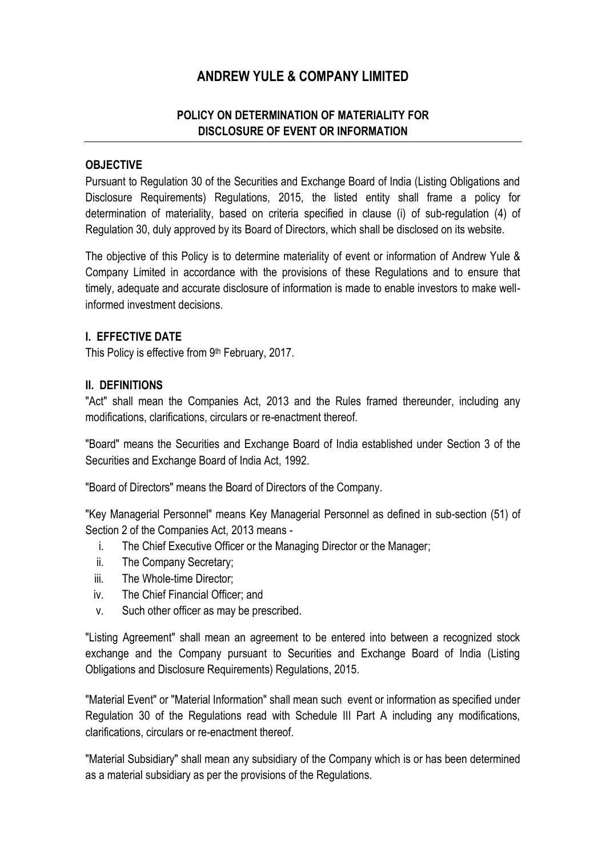# **ANDREW YULE & COMPANY LIMITED**

### **POLICY ON DETERMINATION OF MATERIALITY FOR DISCLOSURE OF EVENT OR INFORMATION**

#### **OBJECTIVE**

Pursuant to Regulation 30 of the Securities and Exchange Board of India (Listing Obligations and Disclosure Requirements) Regulations, 2015, the listed entity shall frame a policy for determination of materiality, based on criteria specified in clause (i) of sub-regulation (4) of Regulation 30, duly approved by its Board of Directors, which shall be disclosed on its website.

The objective of this Policy is to determine materiality of event or information of Andrew Yule & Company Limited in accordance with the provisions of these Regulations and to ensure that timely, adequate and accurate disclosure of information is made to enable investors to make wellinformed investment decisions.

#### **I. EFFECTIVE DATE**

This Policy is effective from 9<sup>th</sup> February, 2017.

#### **II. DEFINITIONS**

"Act" shall mean the Companies Act, 2013 and the Rules framed thereunder, including any modifications, clarifications, circulars or re-enactment thereof.

"Board" means the Securities and Exchange Board of India established under Section 3 of the Securities and Exchange Board of India Act, 1992.

"Board of Directors" means the Board of Directors of the Company.

"Key Managerial Personnel" means Key Managerial Personnel as defined in sub-section (51) of Section 2 of the Companies Act, 2013 means -

- i. The Chief Executive Officer or the Managing Director or the Manager;
- ii. The Company Secretary;
- iii. The Whole-time Director;
- iv. The Chief Financial Officer; and
- v. Such other officer as may be prescribed.

"Listing Agreement" shall mean an agreement to be entered into between a recognized stock exchange and the Company pursuant to Securities and Exchange Board of India (Listing Obligations and Disclosure Requirements) Regulations, 2015.

"Material Event" or "Material Information" shall mean such event or information as specified under Regulation 30 of the Regulations read with Schedule III Part A including any modifications, clarifications, circulars or re-enactment thereof.

"Material Subsidiary" shall mean any subsidiary of the Company which is or has been determined as a material subsidiary as per the provisions of the Regulations.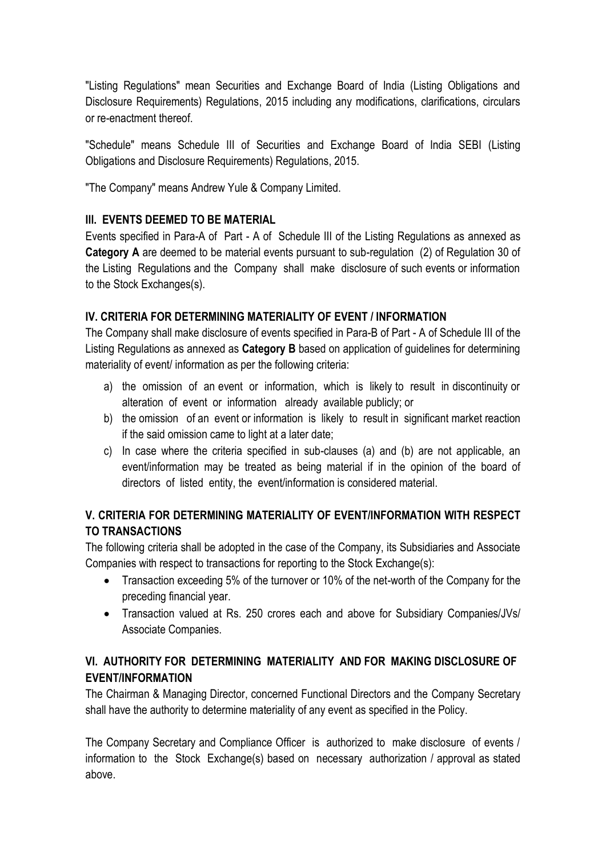"Listing Regulations" mean Securities and Exchange Board of India (Listing Obligations and Disclosure Requirements) Regulations, 2015 including any modifications, clarifications, circulars or re-enactment thereof.

"Schedule" means Schedule III of Securities and Exchange Board of India SEBI (Listing Obligations and Disclosure Requirements) Regulations, 2015.

"The Company" means Andrew Yule & Company Limited.

### **Ill. EVENTS DEEMED TO BE MATERIAL**

Events specified in Para-A of Part - A of Schedule III of the Listing Regulations as annexed as **Category A** are deemed to be material events pursuant to sub-regulation (2) of Regulation 30 of the Listing Regulations and the Company shall make disclosure of such events or information to the Stock Exchanges(s).

## **IV. CRITERIA FOR DETERMINING MATERIALITY OF EVENT / INFORMATION**

The Company shall make disclosure of events specified in Para-B of Part - A of Schedule III of the Listing Regulations as annexed as **Category B** based on application of guidelines for determining materiality of event/ information as per the following criteria:

- a) the omission of an event or information, which is likely to result in discontinuity or alteration of event or information already available publicly; or
- b) the omission of an event or information is likely to result in significant market reaction if the said omission came to light at a later date;
- c) In case where the criteria specified in sub-clauses (a) and (b) are not applicable, an event/information may be treated as being material if in the opinion of the board of directors of listed entity, the event/information is considered material.

## **V. CRITERIA FOR DETERMINING MATERIALITY OF EVENT/INFORMATION WITH RESPECT TO TRANSACTIONS**

The following criteria shall be adopted in the case of the Company, its Subsidiaries and Associate Companies with respect to transactions for reporting to the Stock Exchange(s):

- Transaction exceeding 5% of the turnover or 10% of the net-worth of the Company for the preceding financial year.
- Transaction valued at Rs. 250 crores each and above for Subsidiary Companies/JVs/ Associate Companies.

## **VI. AUTHORITY FOR DETERMINING MATERIALITY AND FOR MAKING DISCLOSURE OF EVENT/INFORMATION**

The Chairman & Managing Director, concerned Functional Directors and the Company Secretary shall have the authority to determine materiality of any event as specified in the Policy.

The Company Secretary and Compliance Officer is authorized to make disclosure of events / information to the Stock Exchange(s) based on necessary authorization / approval as stated above.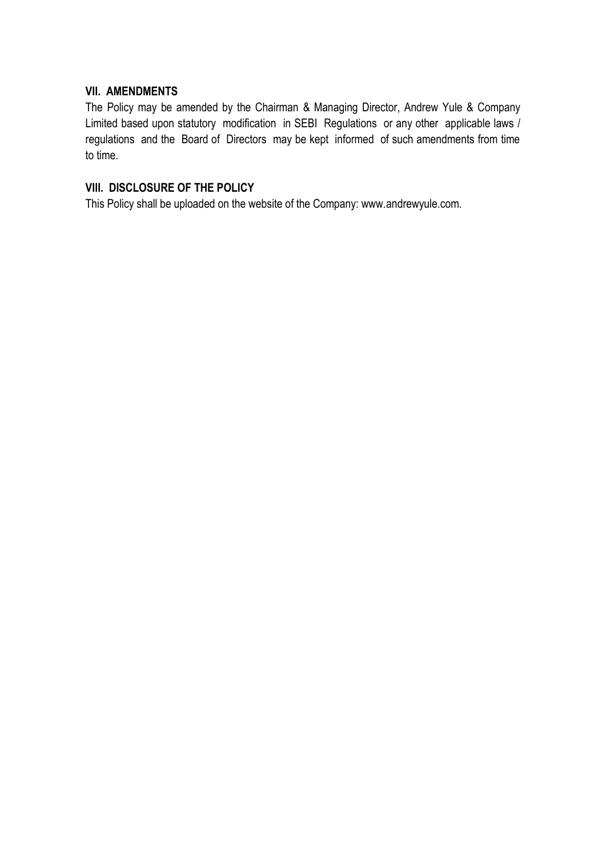#### **VII. AMENDMENTS**

The Policy may be amended by the Chairman & Managing Director, Andrew Yule & Company Limited based upon statutory modification in SEBI Regulations or any other applicable laws / regulations and the Board of Directors may be kept informed of such amendments from time to time.

## **VIII. DISCLOSURE OF THE POLICY**

This Policy shall be uploaded on the website of the Company: www.andrewyule.com.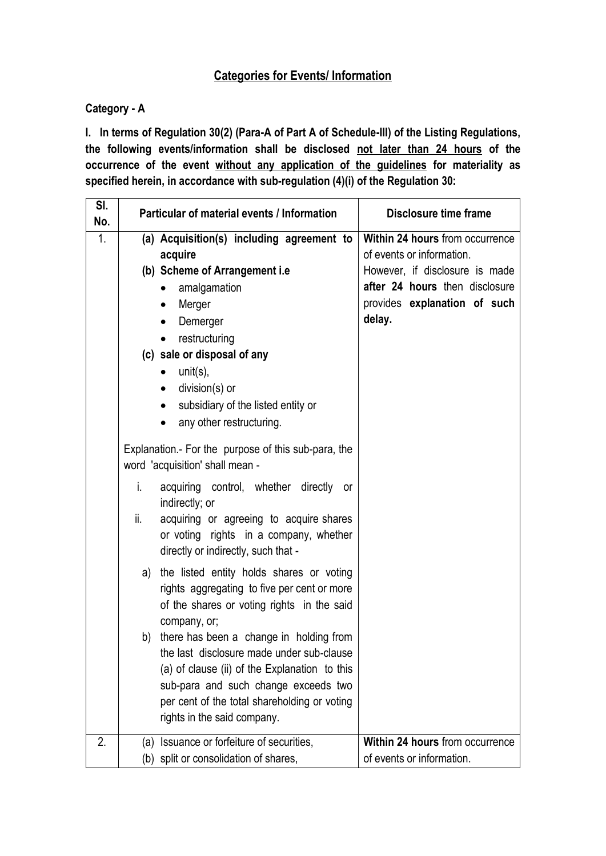## **Categories for Events/ Information**

## **Category - A**

**I. In terms of Regulation 30(2) (Para-A of Part A of Schedule-III) of the Listing Regulations, the following events/information shall be disclosed not later than 24 hours of the occurrence of the event without any application of the guidelines for materiality as specified herein, in accordance with sub-regulation (4)(i) of the Regulation 30:** 

| SI.<br>No. |     | Particular of material events / Information                                                                                                                                                                                                                     | <b>Disclosure time frame</b>                                 |
|------------|-----|-----------------------------------------------------------------------------------------------------------------------------------------------------------------------------------------------------------------------------------------------------------------|--------------------------------------------------------------|
| 1.         |     | (a) Acquisition(s) including agreement to<br>acquire                                                                                                                                                                                                            | Within 24 hours from occurrence<br>of events or information. |
|            |     | (b) Scheme of Arrangement i.e                                                                                                                                                                                                                                   | However, if disclosure is made                               |
|            |     | amalgamation<br>$\bullet$                                                                                                                                                                                                                                       | after 24 hours then disclosure                               |
|            |     | Merger<br>$\bullet$                                                                                                                                                                                                                                             | provides explanation of such                                 |
|            |     | Demerger                                                                                                                                                                                                                                                        | delay.                                                       |
|            |     | restructuring                                                                                                                                                                                                                                                   |                                                              |
|            |     | (c) sale or disposal of any                                                                                                                                                                                                                                     |                                                              |
|            |     | unit(s),<br>$\bullet$                                                                                                                                                                                                                                           |                                                              |
|            |     | $division(s)$ or<br>$\bullet$                                                                                                                                                                                                                                   |                                                              |
|            |     | subsidiary of the listed entity or                                                                                                                                                                                                                              |                                                              |
|            |     | any other restructuring.                                                                                                                                                                                                                                        |                                                              |
|            |     | Explanation.- For the purpose of this sub-para, the<br>word 'acquisition' shall mean -                                                                                                                                                                          |                                                              |
|            | i.  | acquiring control, whether directly<br>or<br>indirectly; or                                                                                                                                                                                                     |                                                              |
|            | ii. | acquiring or agreeing to acquire shares<br>or voting rights in a company, whether<br>directly or indirectly, such that -                                                                                                                                        |                                                              |
|            | a)  | the listed entity holds shares or voting<br>rights aggregating to five per cent or more<br>of the shares or voting rights in the said<br>company, or;                                                                                                           |                                                              |
|            |     | b) there has been a change in holding from<br>the last disclosure made under sub-clause<br>(a) of clause (ii) of the Explanation to this<br>sub-para and such change exceeds two<br>per cent of the total shareholding or voting<br>rights in the said company. |                                                              |
| 2.         | (a) | Issuance or forfeiture of securities,                                                                                                                                                                                                                           | Within 24 hours from occurrence                              |
|            | (b) | split or consolidation of shares,                                                                                                                                                                                                                               | of events or information.                                    |
|            |     |                                                                                                                                                                                                                                                                 |                                                              |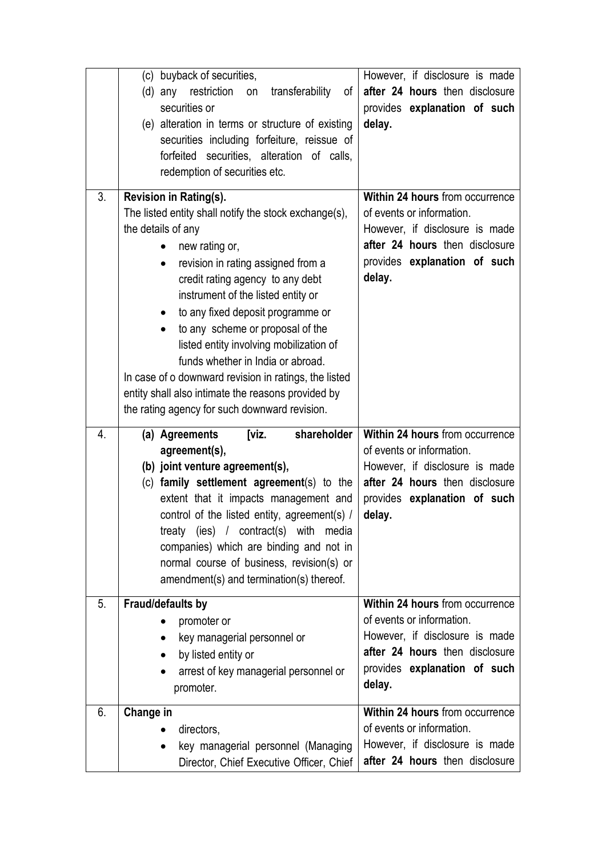| 3.             | (c) buyback of securities,<br>restriction<br>transferability<br>(d) any<br>of<br>on<br>securities or<br>(e) alteration in terms or structure of existing<br>securities including forfeiture, reissue of<br>forfeited securities, alteration of calls,<br>redemption of securities etc.<br>Revision in Rating(s).<br>The listed entity shall notify the stock exchange(s),<br>the details of any<br>new rating or,<br>revision in rating assigned from a<br>$\bullet$<br>credit rating agency to any debt<br>instrument of the listed entity or<br>to any fixed deposit programme or<br>$\bullet$<br>to any scheme or proposal of the<br>listed entity involving mobilization of<br>funds whether in India or abroad.<br>In case of o downward revision in ratings, the listed<br>entity shall also intimate the reasons provided by<br>the rating agency for such downward revision. | However, if disclosure is made<br>after 24 hours then disclosure<br>provides explanation of such<br>delay.<br>Within 24 hours from occurrence<br>of events or information.<br>However, if disclosure is made<br>after 24 hours then disclosure<br>provides explanation of such<br>delay. |
|----------------|--------------------------------------------------------------------------------------------------------------------------------------------------------------------------------------------------------------------------------------------------------------------------------------------------------------------------------------------------------------------------------------------------------------------------------------------------------------------------------------------------------------------------------------------------------------------------------------------------------------------------------------------------------------------------------------------------------------------------------------------------------------------------------------------------------------------------------------------------------------------------------------|------------------------------------------------------------------------------------------------------------------------------------------------------------------------------------------------------------------------------------------------------------------------------------------|
| 4.             | shareholder<br>(a) Agreements<br>[viz.<br>agreement(s),<br>(b) joint venture agreement(s),<br>(c) family settlement agreement(s) to the<br>extent that it impacts management and<br>control of the listed entity, agreement(s) /<br>treaty (ies) / contract(s) with media<br>companies) which are binding and not in<br>normal course of business, revision(s) or<br>amendment(s) and termination(s) thereof.                                                                                                                                                                                                                                                                                                                                                                                                                                                                        | Within 24 hours from occurrence<br>of events or information.<br>However, if disclosure is made<br>after 24 hours then disclosure<br>provides explanation of such<br>delay.                                                                                                               |
| 5 <sub>1</sub> | Fraud/defaults by<br>promoter or<br>key managerial personnel or<br>by listed entity or<br>$\bullet$<br>arrest of key managerial personnel or<br>promoter.                                                                                                                                                                                                                                                                                                                                                                                                                                                                                                                                                                                                                                                                                                                            | Within 24 hours from occurrence<br>of events or information.<br>However, if disclosure is made<br>after 24 hours then disclosure<br>provides explanation of such<br>delay.                                                                                                               |
| 6.             | Change in<br>directors,<br>key managerial personnel (Managing<br>٠<br>Director, Chief Executive Officer, Chief                                                                                                                                                                                                                                                                                                                                                                                                                                                                                                                                                                                                                                                                                                                                                                       | Within 24 hours from occurrence<br>of events or information.<br>However, if disclosure is made<br>after 24 hours then disclosure                                                                                                                                                         |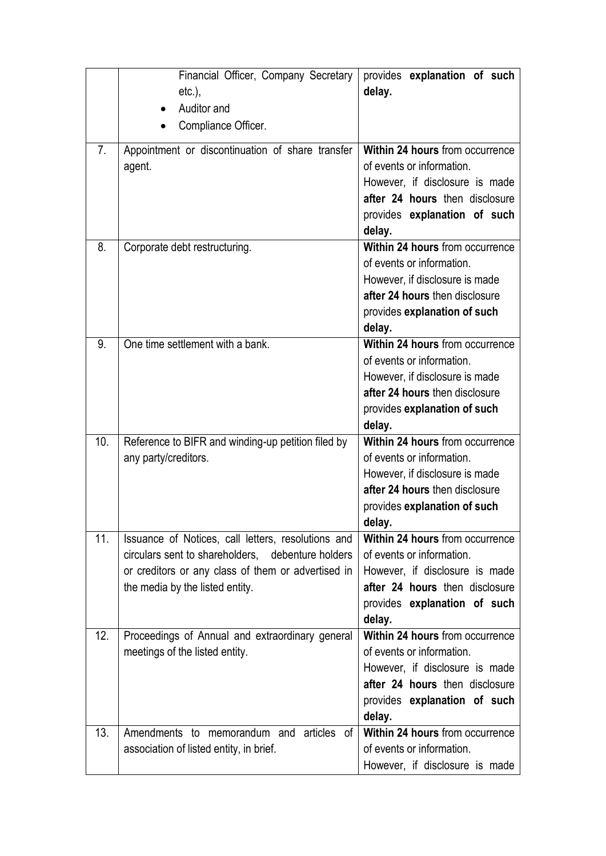|                | Financial Officer, Company Secretary<br>$etc.$ ),<br>Auditor and<br>Compliance Officer.                                                                                                          | provides explanation of such<br>delay.                                                                                                                                     |
|----------------|--------------------------------------------------------------------------------------------------------------------------------------------------------------------------------------------------|----------------------------------------------------------------------------------------------------------------------------------------------------------------------------|
| 7 <sub>1</sub> | Appointment or discontinuation of share transfer<br>agent.                                                                                                                                       | Within 24 hours from occurrence<br>of events or information.<br>However, if disclosure is made<br>after 24 hours then disclosure<br>provides explanation of such<br>delay. |
| 8.             | Corporate debt restructuring.                                                                                                                                                                    | Within 24 hours from occurrence<br>of events or information.<br>However, if disclosure is made<br>after 24 hours then disclosure<br>provides explanation of such<br>delay. |
| 9.             | One time settlement with a bank.                                                                                                                                                                 | Within 24 hours from occurrence<br>of events or information.<br>However, if disclosure is made<br>after 24 hours then disclosure<br>provides explanation of such<br>delay. |
| 10.            | Reference to BIFR and winding-up petition filed by<br>any party/creditors.                                                                                                                       | Within 24 hours from occurrence<br>of events or information.<br>However, if disclosure is made<br>after 24 hours then disclosure<br>provides explanation of such<br>delay. |
| 11.            | Issuance of Notices, call letters, resolutions and<br>circulars sent to shareholders, debenture holders<br>or creditors or any class of them or advertised in<br>the media by the listed entity. | Within 24 hours from occurrence<br>of events or information.<br>However, if disclosure is made<br>after 24 hours then disclosure<br>provides explanation of such<br>delay. |
| 12.            | Proceedings of Annual and extraordinary general<br>meetings of the listed entity.                                                                                                                | Within 24 hours from occurrence<br>of events or information.<br>However, if disclosure is made<br>after 24 hours then disclosure<br>provides explanation of such<br>delay. |
| 13.            | Amendments to memorandum and articles<br>0t<br>association of listed entity, in brief.                                                                                                           | Within 24 hours from occurrence<br>of events or information.<br>However, if disclosure is made                                                                             |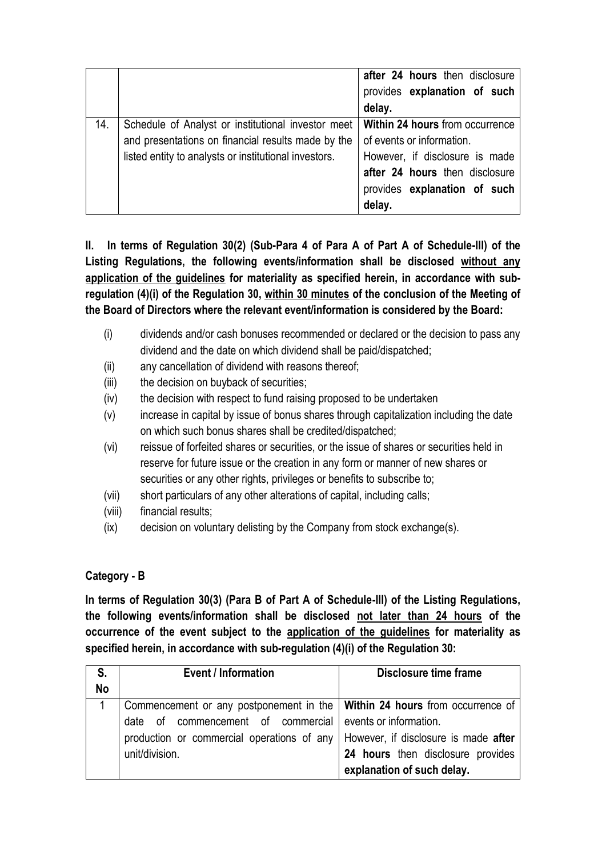|     |                                                                                                                                                                   | after 24 hours then disclosure<br>provides explanation of such<br>delay.                                                                                                   |
|-----|-------------------------------------------------------------------------------------------------------------------------------------------------------------------|----------------------------------------------------------------------------------------------------------------------------------------------------------------------------|
| 14. | Schedule of Analyst or institutional investor meet<br>and presentations on financial results made by the<br>listed entity to analysts or institutional investors. | Within 24 hours from occurrence<br>of events or information.<br>However, if disclosure is made<br>after 24 hours then disclosure<br>provides explanation of such<br>delay. |

**II. In terms of Regulation 30(2) (Sub-Para 4 of Para A of Part A of Schedule-III) of the Listing Regulations, the following events/information shall be disclosed without any application of the guidelines for materiality as specified herein, in accordance with subregulation (4)(i) of the Regulation 30, within 30 minutes of the conclusion of the Meeting of the Board of Directors where the relevant event/information is considered by the Board:** 

- (i) dividends and/or cash bonuses recommended or declared or the decision to pass any dividend and the date on which dividend shall be paid/dispatched;
- (ii) any cancellation of dividend with reasons thereof;
- (iii) the decision on buyback of securities;
- (iv) the decision with respect to fund raising proposed to be undertaken
- (v) increase in capital by issue of bonus shares through capitalization including the date on which such bonus shares shall be credited/dispatched;
- (vi) reissue of forfeited shares or securities, or the issue of shares or securities held in reserve for future issue or the creation in any form or manner of new shares or securities or any other rights, privileges or benefits to subscribe to;
- (vii) short particulars of any other alterations of capital, including calls;
- (viii) financial results;
- (ix) decision on voluntary delisting by the Company from stock exchange(s).

### **Category - B**

**In terms of Regulation 30(3) (Para B of Part A of Schedule-III) of the Listing Regulations, the following events/information shall be disclosed not later than 24 hours of the occurrence of the event subject to the application of the guidelines for materiality as specified herein, in accordance with sub-regulation (4)(i) of the Regulation 30:** 

| S.        | <b>Event / Information</b>                                                   | Disclosure time frame                |
|-----------|------------------------------------------------------------------------------|--------------------------------------|
| <b>No</b> |                                                                              |                                      |
|           | Commencement or any postponement in the   Within 24 hours from occurrence of |                                      |
|           | date of commencement of commercial                                           | events or information.               |
|           | production or commercial operations of any                                   | However, if disclosure is made after |
|           | unit/division.                                                               | 24 hours then disclosure provides    |
|           |                                                                              | explanation of such delay.           |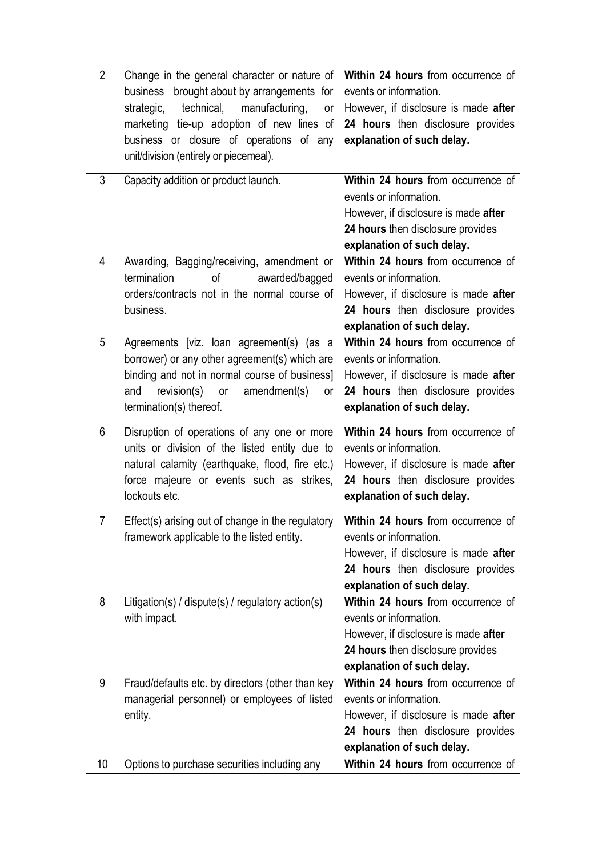| $\overline{2}$ | Change in the general character or nature of                                           | Within 24 hours from occurrence of                               |
|----------------|----------------------------------------------------------------------------------------|------------------------------------------------------------------|
|                | business brought about by arrangements for                                             | events or information.                                           |
|                | strategic, technical,<br>manufacturing,<br>or                                          | However, if disclosure is made after                             |
|                | marketing tie-up, adoption of new lines of                                             | 24 hours then disclosure provides                                |
|                | business or closure of operations of any                                               | explanation of such delay.                                       |
|                | unit/division (entirely or piecemeal).                                                 |                                                                  |
| 3              | Capacity addition or product launch.                                                   | Within 24 hours from occurrence of                               |
|                |                                                                                        | events or information.                                           |
|                |                                                                                        | However, if disclosure is made after                             |
|                |                                                                                        | 24 hours then disclosure provides                                |
|                |                                                                                        | explanation of such delay.                                       |
| 4              | Awarding, Bagging/receiving, amendment or                                              | Within 24 hours from occurrence of                               |
|                | termination<br>of<br>awarded/bagged                                                    | events or information.                                           |
|                | orders/contracts not in the normal course of                                           | However, if disclosure is made after                             |
|                | business.                                                                              | 24 hours then disclosure provides                                |
|                |                                                                                        | explanation of such delay.                                       |
| 5              | Agreements [viz. loan agreement(s) (as a                                               | Within 24 hours from occurrence of                               |
|                | borrower) or any other agreement(s) which are                                          | events or information.                                           |
|                | binding and not in normal course of business]                                          | However, if disclosure is made after                             |
|                | revision(s)<br>or amendment(s)<br>and<br><b>or</b>                                     | 24 hours then disclosure provides                                |
|                | termination(s) thereof.                                                                | explanation of such delay.                                       |
| 6              | Disruption of operations of any one or more                                            | Within 24 hours from occurrence of                               |
|                | units or division of the listed entity due to                                          | events or information.                                           |
|                | natural calamity (earthquake, flood, fire etc.)                                        | However, if disclosure is made after                             |
|                | force majeure or events such as strikes,                                               | 24 hours then disclosure provides                                |
|                | lockouts etc.                                                                          |                                                                  |
|                |                                                                                        |                                                                  |
|                |                                                                                        | explanation of such delay.                                       |
|                | Effect(s) arising out of change in the regulatory   Within 24 hours from occurrence of |                                                                  |
|                | framework applicable to the listed entity.                                             | events or information.                                           |
|                |                                                                                        | However, if disclosure is made after                             |
|                |                                                                                        | 24 hours then disclosure provides                                |
|                |                                                                                        | explanation of such delay.                                       |
| 8              | Litigation(s) / dispute(s) / regulatory action(s)                                      | Within 24 hours from occurrence of                               |
|                | with impact.                                                                           | events or information.                                           |
|                |                                                                                        | However, if disclosure is made after                             |
|                |                                                                                        | 24 hours then disclosure provides                                |
|                |                                                                                        | explanation of such delay.                                       |
| 9              | Fraud/defaults etc. by directors (other than key                                       | Within 24 hours from occurrence of                               |
|                | managerial personnel) or employees of listed                                           | events or information.                                           |
|                | entity.                                                                                | However, if disclosure is made after                             |
|                |                                                                                        | 24 hours then disclosure provides                                |
| 10             | Options to purchase securities including any                                           | explanation of such delay.<br>Within 24 hours from occurrence of |